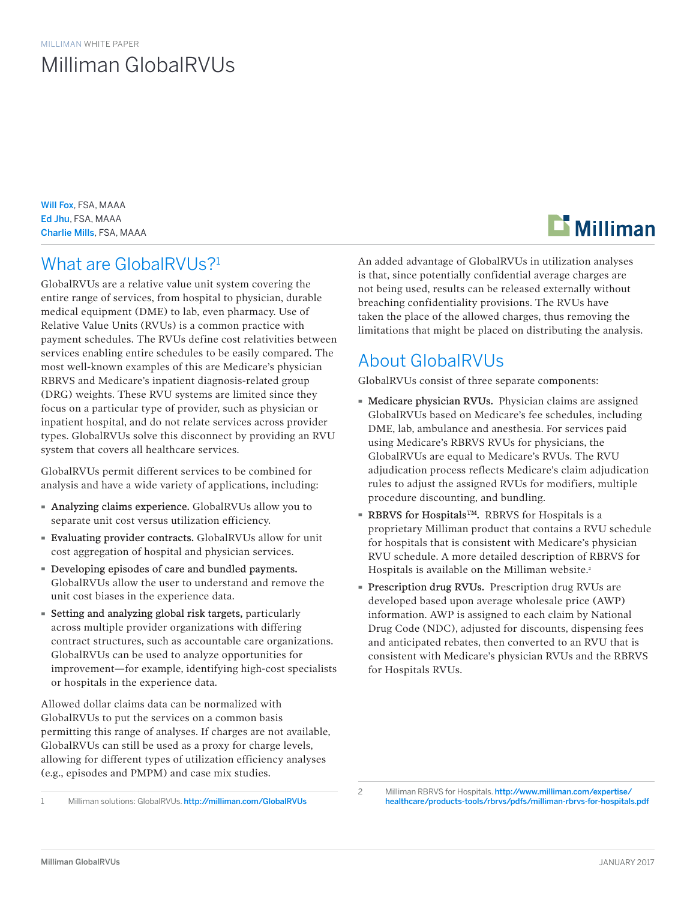# Milliman GlobalRVUs

Will Fox, FSA, MAAA Ed Jhu, FSA, MAAA Charlie Mills, FSA, MAAA

# What are GlobalRVUs?<sup>1</sup>

GlobalRVUs are a relative value unit system covering the entire range of services, from hospital to physician, durable medical equipment (DME) to lab, even pharmacy. Use of Relative Value Units (RVUs) is a common practice with payment schedules. The RVUs define cost relativities between services enabling entire schedules to be easily compared. The most well-known examples of this are Medicare's physician RBRVS and Medicare's inpatient diagnosis-related group (DRG) weights. These RVU systems are limited since they focus on a particular type of provider, such as physician or inpatient hospital, and do not relate services across provider types. GlobalRVUs solve this disconnect by providing an RVU system that covers all healthcare services.

GlobalRVUs permit different services to be combined for analysis and have a wide variety of applications, including:

- · Analyzing claims experience. GlobalRVUs allow you to separate unit cost versus utilization efficiency.
- · Evaluating provider contracts. GlobalRVUs allow for unit cost aggregation of hospital and physician services.
- · Developing episodes of care and bundled payments. GlobalRVUs allow the user to understand and remove the unit cost biases in the experience data.
- · Setting and analyzing global risk targets, particularly across multiple provider organizations with differing contract structures, such as accountable care organizations. GlobalRVUs can be used to analyze opportunities for improvement—for example, identifying high-cost specialists or hospitals in the experience data.

Allowed dollar claims data can be normalized with GlobalRVUs to put the services on a common basis permitting this range of analyses. If charges are not available, GlobalRVUs can still be used as a proxy for charge levels, allowing for different types of utilization efficiency analyses (e.g., episodes and PMPM) and case mix studies.



An added advantage of GlobalRVUs in utilization analyses is that, since potentially confidential average charges are not being used, results can be released externally without breaching confidentiality provisions. The RVUs have taken the place of the allowed charges, thus removing the limitations that might be placed on distributing the analysis.

# About GlobalRVUs

GlobalRVUs consist of three separate components:

- · Medicare physician RVUs. Physician claims are assigned GlobalRVUs based on Medicare's fee schedules, including DME, lab, ambulance and anesthesia. For services paid using Medicare's RBRVS RVUs for physicians, the GlobalRVUs are equal to Medicare's RVUs. The RVU adjudication process reflects Medicare's claim adjudication rules to adjust the assigned RVUs for modifiers, multiple procedure discounting, and bundling.
- RBRVS for Hospitals<sup>™</sup>. RBRVS for Hospitals is a proprietary Milliman product that contains a RVU schedule for hospitals that is consistent with Medicare's physician RVU schedule. A more detailed description of RBRVS for Hospitals is available on the Milliman website.<sup>2</sup>
- · Prescription drug RVUs. Prescription drug RVUs are developed based upon average wholesale price (AWP) information. AWP is assigned to each claim by National Drug Code (NDC), adjusted for discounts, dispensing fees and anticipated rebates, then converted to an RVU that is consistent with Medicare's physician RVUs and the RBRVS for Hospitals RVUs.

<sup>1</sup> Milliman solutions: GlobalRVUs. [http://](http://milliman.com/GlobalRVUs)milliman.com/GlobalRVUs

<sup>2</sup> Milliman RBRVS for Hospitals. [http://www.milliman.com/expertise/](http://www.milliman.com/expertise/healthcare/products-tools/rbrvs/pdfs/milliman-rbrvs-for-hospitals.) [healthcare/products-tools/rbrvs/pdfs/milliman-rbrvs-for-hospitals.pdf](http://www.milliman.com/expertise/healthcare/products-tools/rbrvs/pdfs/milliman-rbrvs-for-hospitals.)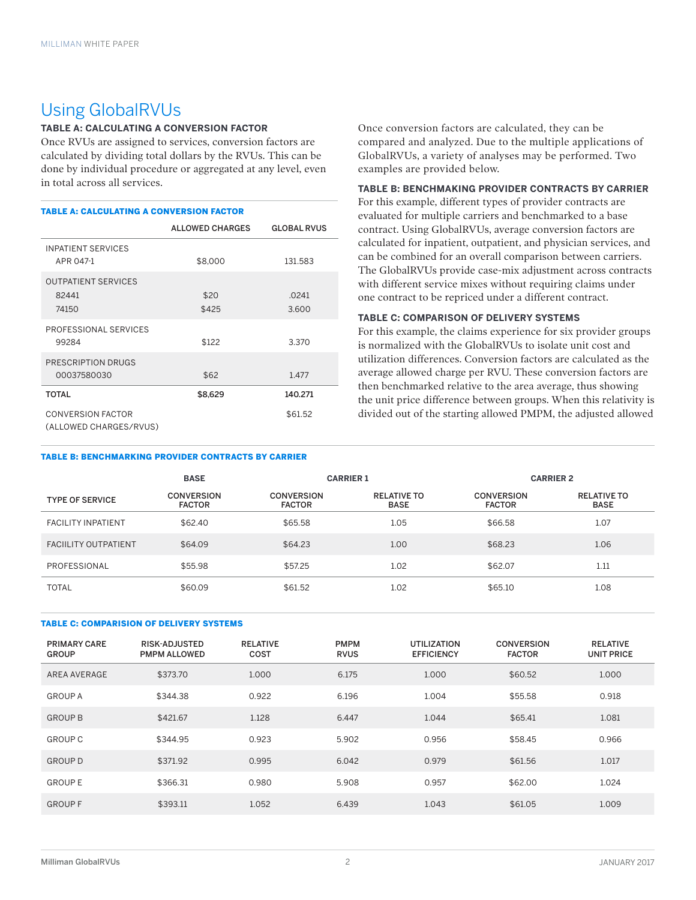## Using GlobalRVUs

## **TABLE A: CALCULATING A CONVERSION FACTOR**

Once RVUs are assigned to services, conversion factors are calculated by dividing total dollars by the RVUs. This can be done by individual procedure or aggregated at any level, even in total across all services.

#### TABLE A: CALCULATING A CONVERSION FACTOR

|                                                    | <b>ALLOWED CHARGES</b> | <b>GLOBAL RVUS</b> |
|----------------------------------------------------|------------------------|--------------------|
| <b>INPATIENT SERVICES</b><br>APR 047-1             | \$8,000                | 131.583            |
| <b>OUTPATIENT SERVICES</b><br>82441<br>74150       | \$20<br>\$425          | .0241<br>3.600     |
| PROFESSIONAL SERVICES<br>99284                     | \$122                  | 3.370              |
| PRESCRIPTION DRUGS<br>00037580030                  | \$62                   | 1.477              |
| <b>TOTAL</b>                                       | \$8,629                | 140.271            |
| <b>CONVERSION FACTOR</b><br>(ALLOWED CHARGES/RVUS) |                        | \$61.52            |

#### TABLE B: BENCHMARKING PROVIDER CONTRACTS BY CARRIER

Once conversion factors are calculated, they can be compared and analyzed. Due to the multiple applications of GlobalRVUs, a variety of analyses may be performed. Two examples are provided below.

## **TABLE B: BENCHMAKING PROVIDER CONTRACTS BY CARRIER**

For this example, different types of provider contracts are evaluated for multiple carriers and benchmarked to a base contract. Using GlobalRVUs, average conversion factors are calculated for inpatient, outpatient, and physician services, and can be combined for an overall comparison between carriers. The GlobalRVUs provide case-mix adjustment across contracts with different service mixes without requiring claims under one contract to be repriced under a different contract.

### **TABLE C: COMPARISON OF DELIVERY SYSTEMS**

For this example, the claims experience for six provider groups is normalized with the GlobalRVUs to isolate unit cost and utilization differences. Conversion factors are calculated as the average allowed charge per RVU. These conversion factors are then benchmarked relative to the area average, thus showing the unit price difference between groups. When this relativity is divided out of the starting allowed PMPM, the adjusted allowed

|                            | <b>BASE</b>                        | <b>CARRIER 1</b>                   |                                   | <b>CARRIER 2</b>                   |                                   |
|----------------------------|------------------------------------|------------------------------------|-----------------------------------|------------------------------------|-----------------------------------|
| <b>TYPE OF SERVICE</b>     | <b>CONVERSION</b><br><b>FACTOR</b> | <b>CONVERSION</b><br><b>FACTOR</b> | <b>RELATIVE TO</b><br><b>BASE</b> | <b>CONVERSION</b><br><b>FACTOR</b> | <b>RELATIVE TO</b><br><b>BASE</b> |
| <b>FACILITY INPATIENT</b>  | \$62.40                            | \$65.58                            | 1.05                              | \$66.58                            | 1.07                              |
| <b>FACILITY OUTPATIENT</b> | \$64.09                            | \$64.23                            | 1.00                              | \$68.23                            | 1.06                              |
| PROFESSIONAL               | \$55.98                            | \$57.25                            | 1.02                              | \$62.07                            | 1.11                              |
| <b>TOTAL</b>               | \$60.09                            | \$61.52                            | 1.02                              | \$65.10                            | 1.08                              |

#### TABLE C: COMPARISION OF DELIVERY SYSTEMS

| PRIMARY CARE<br><b>GROUP</b> | RISK-ADJUSTED<br><b>PMPM ALLOWED</b> | <b>RELATIVE</b><br>COST | <b>PMPM</b><br><b>RVUS</b> | <b>UTILIZATION</b><br><b>EFFICIENCY</b> | <b>CONVERSION</b><br><b>FACTOR</b> | <b>RELATIVE</b><br><b>UNIT PRICE</b> |
|------------------------------|--------------------------------------|-------------------------|----------------------------|-----------------------------------------|------------------------------------|--------------------------------------|
| AREA AVERAGE                 | \$373.70                             | 1.000                   | 6.175                      | 1.000                                   | \$60.52                            | 1.000                                |
| <b>GROUP A</b>               | \$344.38                             | 0.922                   | 6.196                      | 1.004                                   | \$55.58                            | 0.918                                |
| <b>GROUP B</b>               | \$421.67                             | 1.128                   | 6.447                      | 1.044                                   | \$65.41                            | 1.081                                |
| <b>GROUP C</b>               | \$344.95                             | 0.923                   | 5.902                      | 0.956                                   | \$58.45                            | 0.966                                |
| <b>GROUP D</b>               | \$371.92                             | 0.995                   | 6.042                      | 0.979                                   | \$61.56                            | 1.017                                |
| <b>GROUPE</b>                | \$366.31                             | 0.980                   | 5.908                      | 0.957                                   | \$62.00                            | 1.024                                |
| <b>GROUPF</b>                | \$393.11                             | 1.052                   | 6.439                      | 1.043                                   | \$61.05                            | 1.009                                |